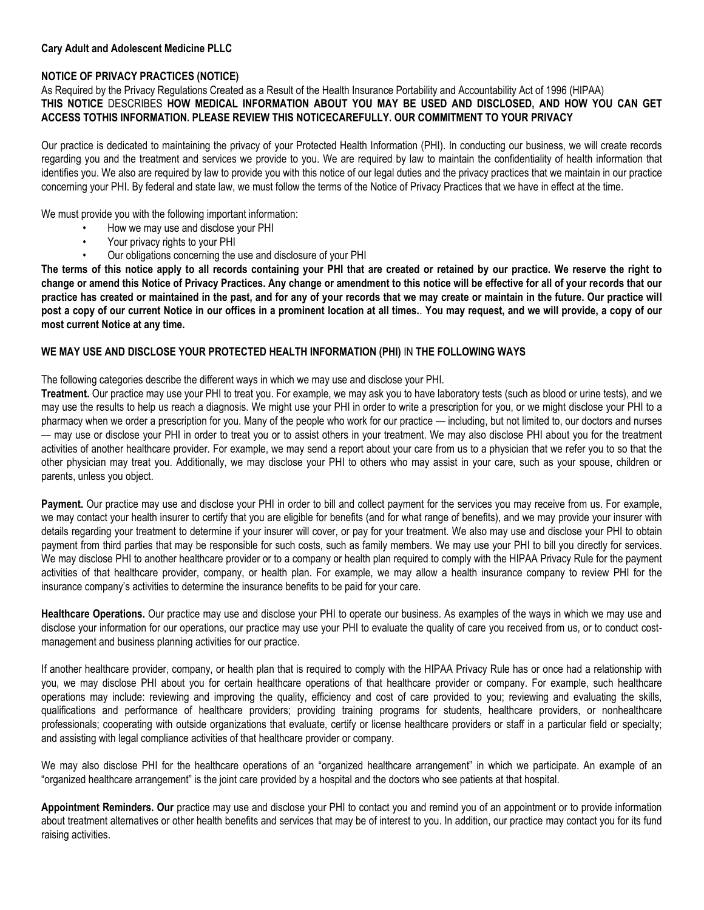## **NOTICE OF PRIVACY PRACTICES (NOTICE)**

## As Required by the Privacy Regulations Created as a Result of the Health Insurance Portability and Accountability Act of 1996 (HIPAA) **THIS NOTICE** DESCRIBES **HOW MEDICAL INFORMATION ABOUT YOU MAY BE USED AND DISCLOSED, AND HOW YOU CAN GET ACCESS TOTHIS INFORMATION. PLEASE REVIEW THIS NOTICECAREFULLY. OUR COMMITMENT TO YOUR PRIVACY**

Our practice is dedicated to maintaining the privacy of your Protected Health Information (PHI). In conducting our business, we will create records regarding you and the treatment and services we provide to you. We are required by law to maintain the confidentiality of health information that identifies you. We also are required by law to provide you with this notice of our legal duties and the privacy practices that we maintain in our practice concerning your PHI. By federal and state law, we must follow the terms of the Notice of Privacy Practices that we have in effect at the time.

We must provide you with the following important information:

- How we may use and disclose your PHI
- Your privacy rights to your PHI
- Our obligations concerning the use and disclosure of your PHI

**The terms of this notice apply to all records containing your PHI that are created or retained by our practice. We reserve the right to change or amend this Notice of Privacy Practices. Any change or amendment to this notice will be effective for all of your records that our practice has created or maintained in the past, and for any of your records that we may create or maintain in the future. Our practice will post a copy of our current Notice in our offices in a prominent location at all times.**. **You may request, and we will provide, a copy of our most current Notice at any time.**

## **WE MAY USE AND DISCLOSE YOUR PROTECTED HEALTH INFORMATION (PHI)** IN **THE FOLLOWING WAYS**

The following categories describe the different ways in which we may use and disclose your PHI.

**Treatment.** Our practice may use your PHI to treat you. For example, we may ask you to have laboratory tests (such as blood or urine tests), and we may use the results to help us reach a diagnosis. We might use your PHI in order to write a prescription for you, or we might disclose your PHI to a pharmacy when we order a prescription for you. Many of the people who work for our practice — including, but not limited to, our doctors and nurses — may use or disclose your PHI in order to treat you or to assist others in your treatment. We may also disclose PHI about you for the treatment activities of another healthcare provider. For example, we may send a report about your care from us to a physician that we refer you to so that the other physician may treat you. Additionally, we may disclose your PHI to others who may assist in your care, such as your spouse, children or parents, unless you object.

**Payment.** Our practice may use and disclose your PHI in order to bill and collect payment for the services you may receive from us. For example, we may contact your health insurer to certify that you are eligible for benefits (and for what range of benefits), and we may provide your insurer with details regarding your treatment to determine if your insurer will cover, or pay for your treatment. We also may use and disclose your PHI to obtain payment from third parties that may be responsible for such costs, such as family members. We may use your PHI to bill you directly for services. We may disclose PHI to another healthcare provider or to a company or health plan required to comply with the HIPAA Privacy Rule for the payment activities of that healthcare provider, company, or health plan. For example, we may allow a health insurance company to review PHI for the insurance company's activities to determine the insurance benefits to be paid for your care.

**Healthcare Operations.** Our practice may use and disclose your PHI to operate our business. As examples of the ways in which we may use and disclose your information for our operations, our practice may use your PHI to evaluate the quality of care you received from us, or to conduct costmanagement and business planning activities for our practice.

If another healthcare provider, company, or health plan that is required to comply with the HIPAA Privacy Rule has or once had a relationship with you, we may disclose PHI about you for certain healthcare operations of that healthcare provider or company. For example, such healthcare operations may include: reviewing and improving the quality, efficiency and cost of care provided to you; reviewing and evaluating the skills, qualifications and performance of healthcare providers; providing training programs for students, healthcare providers, or nonhealthcare professionals; cooperating with outside organizations that evaluate, certify or license healthcare providers or staff in a particular field or specialty; and assisting with legal compliance activities of that healthcare provider or company.

We may also disclose PHI for the healthcare operations of an "organized healthcare arrangement" in which we participate. An example of an "organized healthcare arrangement" is the joint care provided by a hospital and the doctors who see patients at that hospital.

**Appointment Reminders. Our** practice may use and disclose your PHI to contact you and remind you of an appointment or to provide information about treatment alternatives or other health benefits and services that may be of interest to you. In addition, our practice may contact you for its fund raising activities.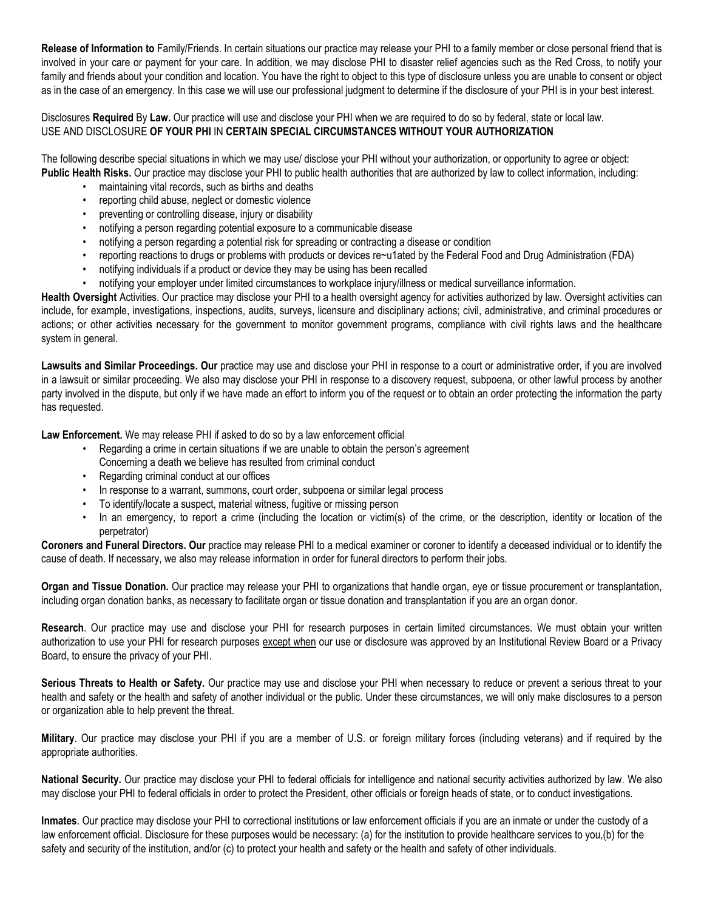**Release of Information to** Family/Friends. In certain situations our practice may release your PHI to a family member or close personal friend that is involved in your care or payment for your care. In addition, we may disclose PHI to disaster relief agencies such as the Red Cross, to notify your family and friends about your condition and location. You have the right to object to this type of disclosure unless you are unable to consent or object as in the case of an emergency. In this case we will use our professional judgment to determine if the disclosure of your PHI is in your best interest.

Disclosures **Required** By **Law.** Our practice will use and disclose your PHI when we are required to do so by federal, state or local law. USE AND DISCLOSURE **OF YOUR PHI** IN **CERTAIN SPECIAL CIRCUMSTANCES WITHOUT YOUR AUTHORIZATION**

The following describe special situations in which we may use/ disclose your PHI without your authorization, or opportunity to agree or object: **Public Health Risks.** Our practice may disclose your PHI to public health authorities that are authorized by law to collect information, including:

- maintaining vital records, such as births and deaths
- reporting child abuse, neglect or domestic violence
- preventing or controlling disease, injury or disability
- notifying a person regarding potential exposure to a communicable disease
- notifying a person regarding a potential risk for spreading or contracting a disease or condition
- reporting reactions to drugs or problems with products or devices re~u1ated by the Federal Food and Drug Administration (FDA)
- notifying individuals if a product or device they may be using has been recalled
- notifying your employer under limited circumstances to workplace injury/illness or medical surveillance information.

**Health Oversight** Activities. Our practice may disclose your PHI to a health oversight agency for activities authorized by law. Oversight activities can include, for example, investigations, inspections, audits, surveys, licensure and disciplinary actions; civil, administrative, and criminal procedures or actions; or other activities necessary for the government to monitor government programs, compliance with civil rights laws and the healthcare system in general.

Lawsuits and Similar Proceedings. Our practice may use and disclose your PHI in response to a court or administrative order, if you are involved in a lawsuit or similar proceeding. We also may disclose your PHI in response to a discovery request, subpoena, or other lawful process by another party involved in the dispute, but only if we have made an effort to inform you of the request or to obtain an order protecting the information the party has requested.

**Law Enforcement.** We may release PHI if asked to do so by a law enforcement official

- Regarding a crime in certain situations if we are unable to obtain the person's agreement Concerning a death we believe has resulted from criminal conduct
- Regarding criminal conduct at our offices
- In response to a warrant, summons, court order, subpoena or similar legal process
- To identify/locate a suspect, material witness, fugitive or missing person
- In an emergency, to report a crime (including the location or victim(s) of the crime, or the description, identity or location of the perpetrator)

Coroners and Funeral Directors. Our practice may release PHI to a medical examiner or coroner to identify a deceased individual or to identify the cause of death. If necessary, we also may release information in order for funeral directors to perform their jobs.

**Organ and Tissue Donation.** Our practice may release your PHI to organizations that handle organ, eye or tissue procurement or transplantation, including organ donation banks, as necessary to facilitate organ or tissue donation and transplantation if you are an organ donor.

**Research**. Our practice may use and disclose your PHI for research purposes in certain limited circumstances. We must obtain your written authorization to use your PHI for research purposes except when our use or disclosure was approved by an Institutional Review Board or a Privacy Board, to ensure the privacy of your PHI.

**Serious Threats to Health or Safety.** Our practice may use and disclose your PHI when necessary to reduce or prevent a serious threat to your health and safety or the health and safety of another individual or the public. Under these circumstances, we will only make disclosures to a person or organization able to help prevent the threat.

**Military**. Our practice may disclose your PHI if you are a member of U.S. or foreign military forces (including veterans) and if required by the appropriate authorities.

**National Security.** Our practice may disclose your PHI to federal officials for intelligence and national security activities authorized by law. We also may disclose your PHI to federal officials in order to protect the President, other officials or foreign heads of state, or to conduct investigations.

**Inmates**. Our practice may disclose your PHI to correctional institutions or law enforcement officials if you are an inmate or under the custody of a law enforcement official. Disclosure for these purposes would be necessary: (a) for the institution to provide healthcare services to you,(b) for the safety and security of the institution, and/or (c) to protect your health and safety or the health and safety of other individuals.